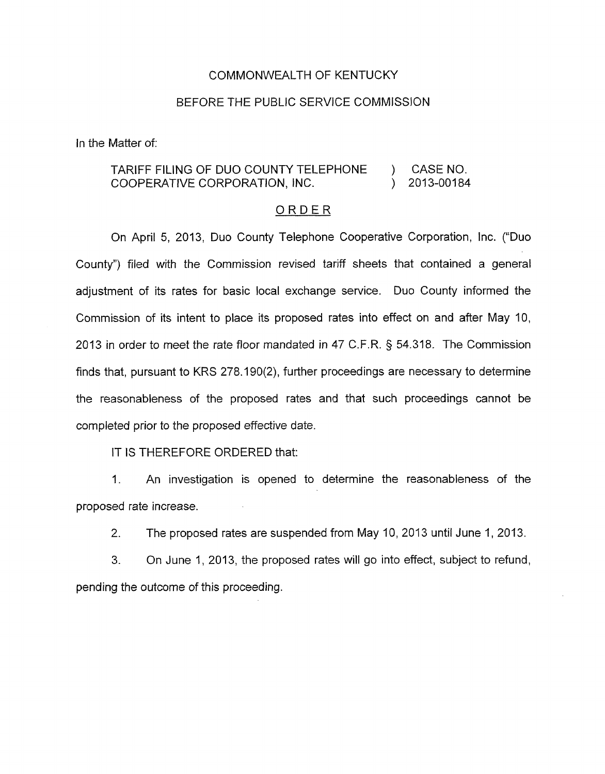## COMMONWEALTH OF KENTUCKY

## BEFORE THE PUBLIC SERVICE COMMISSION

In the Matter of:

## TARIFF FILING OF DUO COUNTY TELEPHONE (3) CASE NO.<br>COOPERATIVE CORPORATION, INC. (3) 2013-00184 COOPERATIVE CORPORATION, INC.  $\qquad \qquad$

## ORDER

On April 5, 2013, Duo County Telephone Cooperative Corporation, Inc. ("Duo County") filed with the Commission revised tariff sheets that contained a general adjustment of its rates for basic local exchange service. Duo County informed the Commission of its intent to place its proposed rates into effect on and after May **IO,**  2013 in order to meet the rate floor mandated in 47 C.F.R. § 54.318. The Commission finds that, pursuant to KRS 278.190(2), further proceedings are necessary to determine the reasonableness of the proposed rates and that such proceedings cannot be completed prior to the proposed effective date.

IT IS THEREFORE ORDERED that:

1. An investigation is opened to determine the reasonableness of the proposed rate increase.

*2.* The proposed rates are suspended from May **IO,** 2013 until June 1,2013.

3. On June 1, 2013, the proposed rates will go into effect, subject to refund, pending the outcome of this proceeding.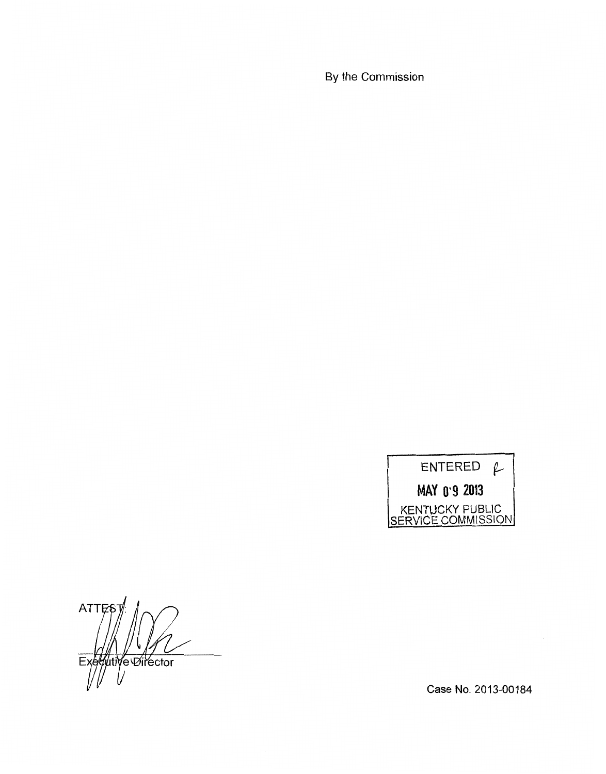By the Commission

ENTERED  $f$ MAY 0.9 2013 KENTUCKY PUBLIC SERVICE COMMISSION

ATTE Executive Director

Case No. 2013-00184